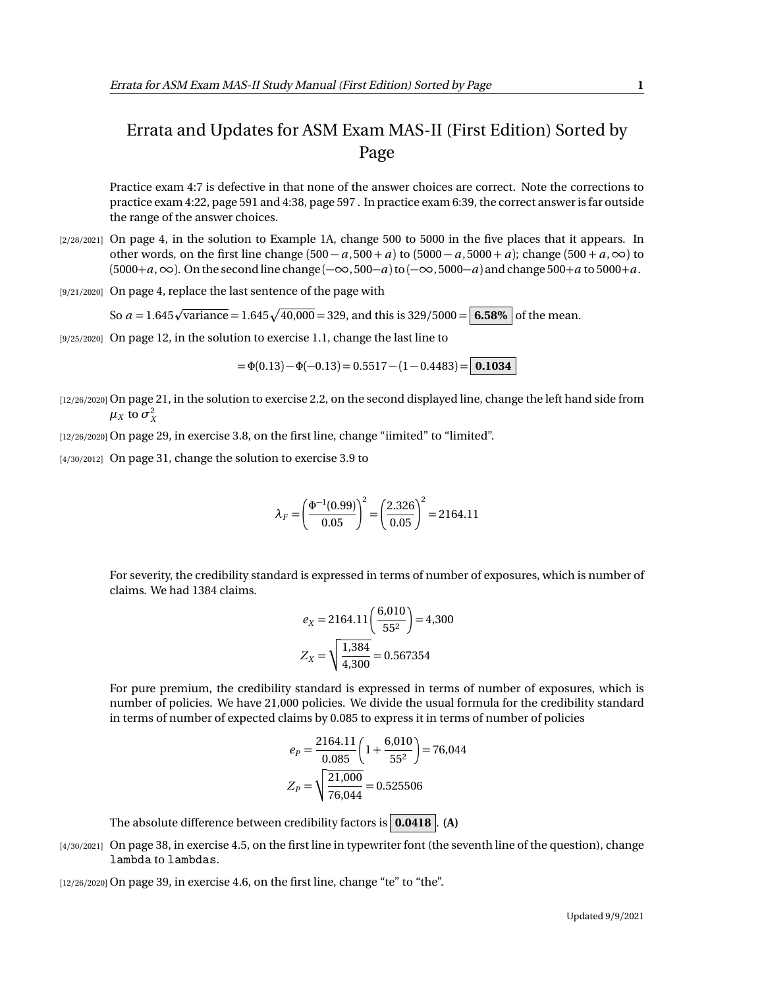## Errata and Updates for ASM Exam MAS-II (First Edition) Sorted by Page

Practice exam 4:7 is defective in that none of the answer choices are correct. Note the corrections to practice exam 4:22, page 591 and 4:38, page 597 . In practice exam 6:39, the correct answer is far outside the range of the answer choices.

- [2/28/2021] On page 4, in the solution to Example 1A, change 500 to 5000 in the five places that it appears. In other words, on the first line change  $(500 - a, 500 + a)$  to  $(5000 - a, 5000 + a)$ ; change  $(500 + a, \infty)$  to  $(5000+a,\infty)$ . On the second line change  $(-\infty,500-a)$  to  $(-\infty,5000-a)$  and change 500+*a* to 5000+*a*.
- [9/21/2020] On page 4, replace the last sentence of the page with

So  $a = 1.645\sqrt{\text{variance}} = 1.645\sqrt{40,000} = 329$ , and this is 329/5000 =  $\boxed{6.58\%}$  of the mean.

[9/25/2020] On page 12, in the solution to exercise 1.1, change the last line to

 $= \Phi(0.13) - \Phi(-0.13) = 0.5517 - (1 - 0.4483) = |0.1034|$ 

[12/26/2020] On page 21, in the solution to exercise 2.2, on the second displayed line, change the left hand side from  $\mu_X$  to  $\sigma_X^2$ 

[12/26/2020] On page 29, in exercise 3.8, on the first line, change "iimited" to "limited".

[4/30/2012] On page 31, change the solution to exercise 3.9 to

$$
\lambda_F = \left(\frac{\Phi^{-1}(0.99)}{0.05}\right)^2 = \left(\frac{2.326}{0.05}\right)^2 = 2164.11
$$

For severity, the credibility standard is expressed in terms of number of exposures, which is number of claims. We had 1384 claims.

$$
e_X = 2164.11 \left( \frac{6,010}{55^2} \right) = 4,300
$$
  
 $Z_X = \sqrt{\frac{1,384}{4,300}} = 0.567354$ 

For pure premium, the credibility standard is expressed in terms of number of exposures, which is number of policies. We have 21,000 policies. We divide the usual formula for the credibility standard in terms of number of expected claims by 0.085 to express it in terms of number of policies

$$
e_P = \frac{2164.11}{0.085} \left( 1 + \frac{6,010}{55^2} \right) = 76,044
$$

$$
Z_P = \sqrt{\frac{21,000}{76,044}} = 0.525506
$$

The absolute difference between credibility factors is **0.0418** . **(A)**

[4/30/2021] On page 38, in exercise 4.5, on the first line in typewriter font (the seventh line of the question), change lambda to lambdas.

 $[12/26/2020]$  On page 39, in exercise 4.6, on the first line, change "te" to "the".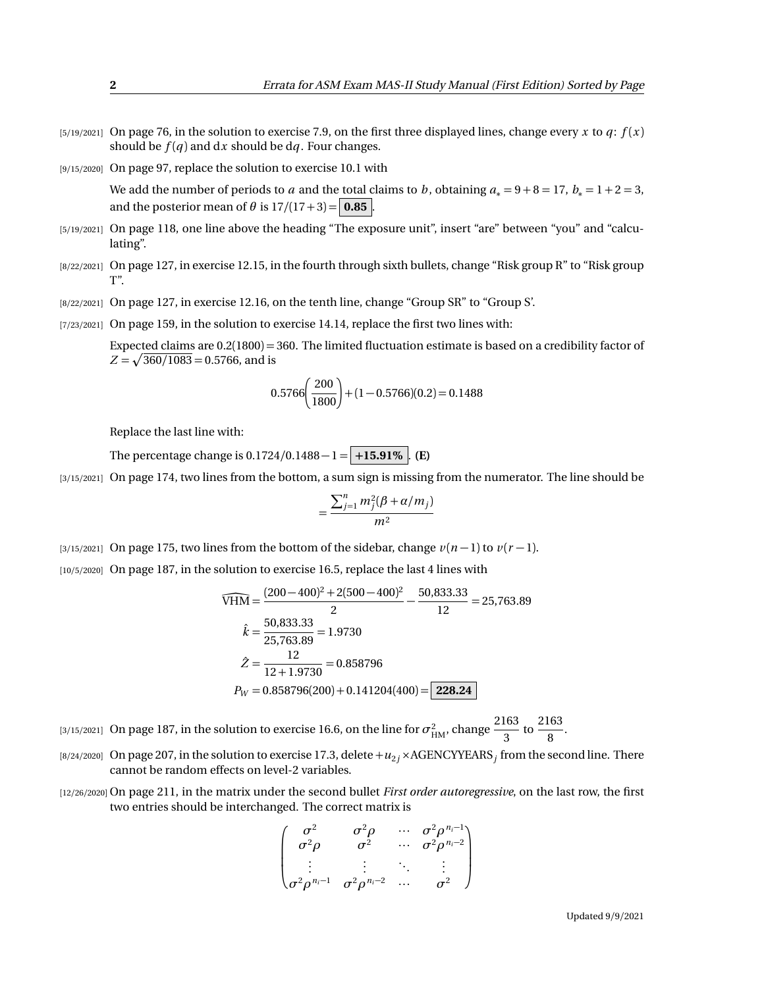- $[5/19/2021]$  On page 76, in the solution to exercise 7.9, on the first three displayed lines, change every *x* to *q*:  $f(x)$ should be  $f(q)$  and dx should be dq. Four changes.
- [9/15/2020] On page 97, replace the solution to exercise 10.1 with

We add the number of periods to *a* and the total claims to *b*, obtaining  $a_* = 9 + 8 = 17$ ,  $b_* = 1 + 2 = 3$ , and the posterior mean of  $\theta$  is  $17/(17+3) = |0.85|$ .

- [5/19/2021] On page 118, one line above the heading "The exposure unit", insert "are" between "you" and "calculating".
- [8/22/2021] On page 127, in exercise 12.15, in the fourth through sixth bullets, change "Risk group R" to "Risk group  $T"$
- [8/22/2021] On page 127, in exercise 12.16, on the tenth line, change "Group SR" to "Group S'.
- [7/23/2021] On page 159, in the solution to exercise 14.14, replace the first two lines with:

Expected claims are 0.2(1800) = 360. The limited fluctuation estimate is based on a credibility factor of  $Z = \sqrt{360/1083} = 0.5766$ , and is

$$
0.5766 \left(\frac{200}{1800}\right) + (1 - 0.5766)(0.2) = 0.1488
$$

Replace the last line with:

The percentage change is  $0.1724/0.1488 - 1 = +15.91\%$  . **(E)** 

[3/15/2021] On page 174, two lines from the bottom, a sum sign is missing from the numerator. The line should be

$$
=\frac{\sum_{j=1}^n m_j^2(\beta+\alpha/m_j)}{m^2}
$$

[3/15/2021] On page 175, two lines from the bottom of the sidebar, change  $v(n-1)$  to  $v(r-1)$ .

[10/5/2020] On page 187, in the solution to exercise 16.5, replace the last 4 lines with

$$
\widehat{VHM} = \frac{(200 - 400)^2 + 2(500 - 400)^2}{2} - \frac{50,833.33}{12} = 25,763.89
$$
  

$$
\hat{k} = \frac{50,833.33}{25,763.89} = 1.9730
$$
  

$$
\hat{Z} = \frac{12}{12 + 1.9730} = 0.858796
$$
  

$$
P_W = 0.858796(200) + 0.141204(400) = 228.24
$$

[3/15/2021] On page 187, in the solution to exercise 16.6, on the line for  $\sigma^2_\text{HM}$ , change  $\frac{2163}{3}$  $\frac{163}{3}$  to  $\frac{2163}{8}$  $\frac{1}{8}$ .

- [8/24/2020] On page 207, in the solution to exercise 17.3, delete  $+u_{2j}$  × AGENCYYEARS $_j$  from the second line. There cannot be random effects on level-2 variables.
- [12/26/2020] On page 211, in the matrix under the second bullet *First order autoregressive*, on the last row, the first two entries should be interchanged. The correct matrix is

$$
\begin{pmatrix}\n\sigma^2 & \sigma^2 \rho & \cdots & \sigma^2 \rho^{n_i-1} \\
\sigma^2 \rho & \sigma^2 & \cdots & \sigma^2 \rho^{n_i-2} \\
\vdots & \vdots & \ddots & \vdots \\
\sigma^2 \rho^{n_i-1} & \sigma^2 \rho^{n_i-2} & \cdots & \sigma^2\n\end{pmatrix}
$$

Updated 9/9/2021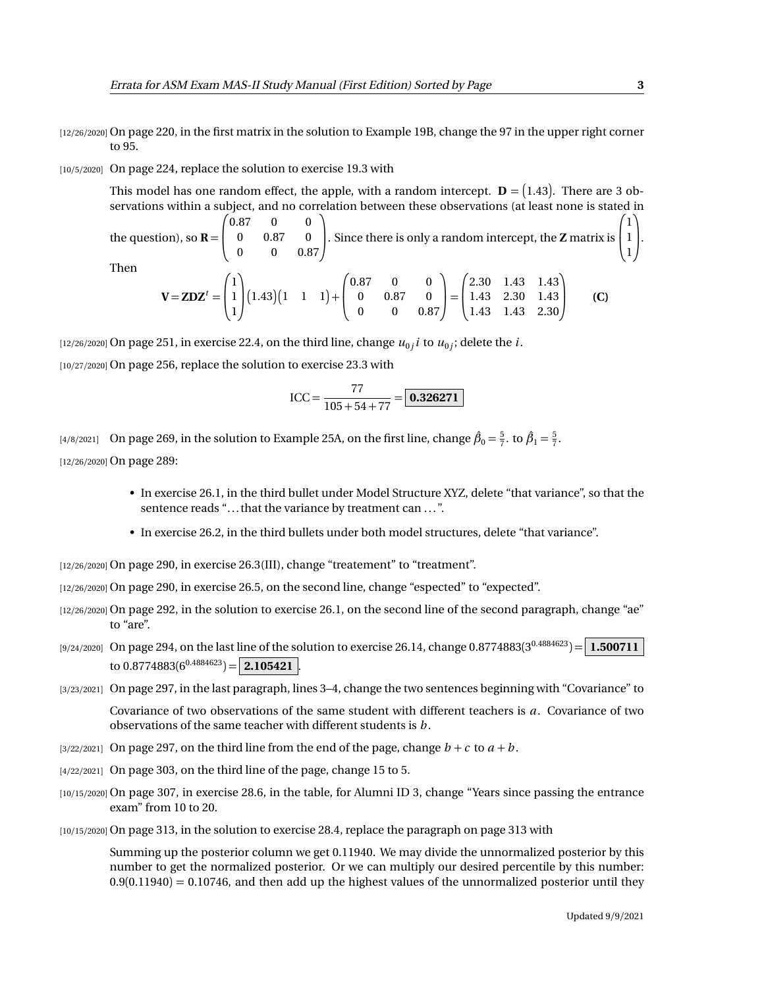- [12/26/2020] On page 220, in the first matrix in the solution to Example 19B, change the 97 in the upper right corner to 95.
- [10/5/2020] On page 224, replace the solution to exercise 19.3 with

This model has one random effect, the apple, with a random intercept.  $\mathbf{D} = \big( 1.43 \big)$ . There are 3 observations within a subject, and no correlation between these observations (at least none is stated in the question), so  $\mathbf{R} = \begin{bmatrix} 1 \\ 1 \end{bmatrix}$  $\sqrt{0.87}$ 0.87 0 0 0 0.87 0 0 0 0.87 λ . Since there is only a random intercept, the **<sup>Z</sup>** matrix is  $\sqrt{ }$  $\mathbf{I}$ 1 1 1 λ  $\cdot$ Then  $\sqrt{ }$ 1 λ  $\sqrt{ }$ 0.87 0 0 λ  $\sqrt{ }$ 2.30 1.43 1.43 λ

$$
\mathbf{V} = \mathbf{Z} \mathbf{D} \mathbf{Z}^t = \begin{pmatrix} 1 \\ 1 \\ 1 \end{pmatrix} (1.43) \begin{pmatrix} 1 & 1 & 1 \end{pmatrix} + \begin{pmatrix} 0.87 & 0 & 0 \\ 0 & 0.87 & 0 \\ 0 & 0 & 0.87 \end{pmatrix} = \begin{pmatrix} 2.30 & 1.43 & 1.43 \\ 1.43 & 2.30 & 1.43 \\ 1.43 & 1.43 & 2.30 \end{pmatrix}
$$
 (C)

 $_{[12/26/2020]}$  On page 251, in exercise 22.4, on the third line, change  $u_{0j}$   $i$  to  $u_{0j}$ ; delete the  $i.$ 

[10/27/2020] On page 256, replace the solution to exercise 23.3 with

$$
ICC = \frac{77}{105 + 54 + 77} = \boxed{\textbf{0.326271}}
$$

[4/8/2021] On page 269, in the solution to Example 25A, on the first line, change  $\hat{\beta}_0 = \frac{5}{7}$ . to  $\hat{\beta}_1 = \frac{5}{7}$ . [12/26/2020] On page 289:

- In exercise 26.1, in the third bullet under Model Structure XYZ, delete "that variance", so that the sentence reads "... that the variance by treatment can ...".
- In exercise 26.2, in the third bullets under both model structures, delete "that variance".

[12/26/2020] On page 290, in exercise 26.3(III), change "treatement" to "treatment".

- [12/26/2020] On page 290, in exercise 26.5, on the second line, change "espected" to "expected".
- [12/26/2020] On page 292, in the solution to exercise 26.1, on the second line of the second paragraph, change "ae" to "are".
- $_{[9/24/2020]}$  On page 294, on the last line of the solution to exercise 26.14, change 0.8774883(3 $^{0.4884623})$   $=$   $\mid$   $1.500711$ to  $0.8774883(6^{0.4884623}) =$  **2.105421**.
- [3/23/2021] On page 297, in the last paragraph, lines 3-4, change the two sentences beginning with "Covariance" to

Covariance of two observations of the same student with different teachers is *a*. Covariance of two observations of the same teacher with different students is *b* .

- $[3/22/2021]$  On page 297, on the third line from the end of the page, change  $b + c$  to  $a + b$ .
- [4/22/2021] On page 303, on the third line of the page, change 15 to 5.
- [10/15/2020] On page 307, in exercise 28.6, in the table, for Alumni ID 3, change "Years since passing the entrance exam" from 10 to 20.
- [10/15/2020] On page 313, in the solution to exercise 28.4, replace the paragraph on page 313 with

Summing up the posterior column we get 0.11940. We may divide the unnormalized posterior by this number to get the normalized posterior. Or we can multiply our desired percentile by this number:  $0.9(0.11940) = 0.10746$ , and then add up the highest values of the unnormalized posterior until they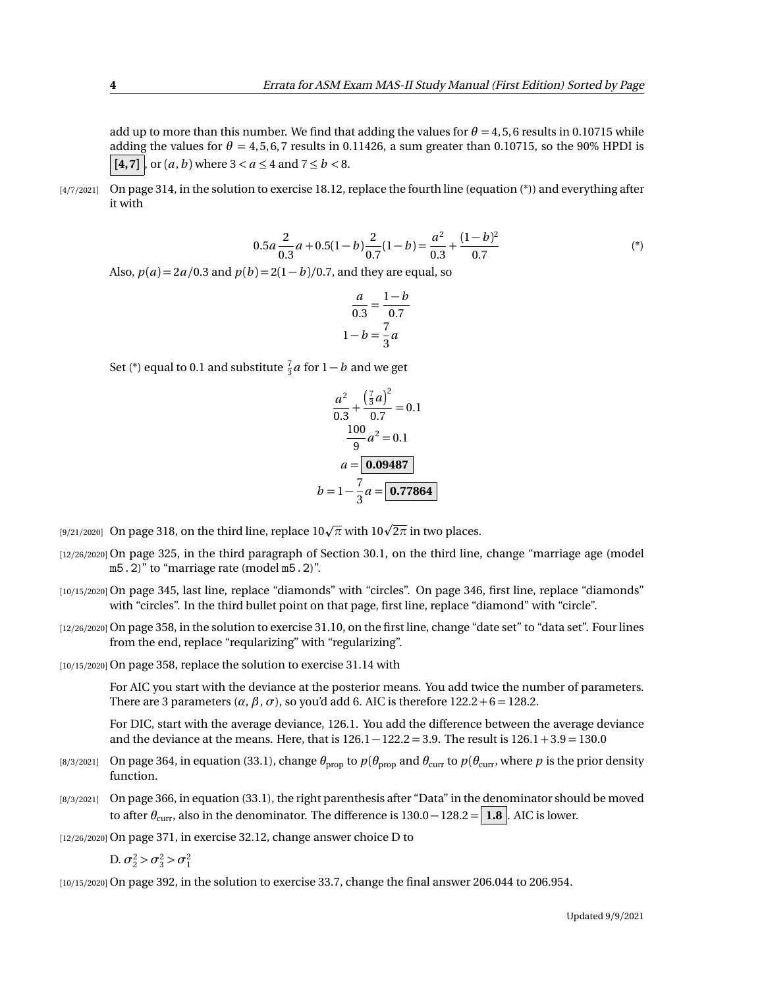add up to more than this number. We find that adding the values for  $\theta = 4.5$ , 6 results in 0.10715 while adding the values for  $\theta = 4, 5, 6, 7$  results in 0.11426, a sum greater than 0.10715, so the 90% HPDI is  $[4,7]$ , or  $(a, b)$  where  $3 < a \leq 4$  and  $7 \leq b < 8$ .

 $[4/7/2021]$  On page 314, in the solution to exercise 18.12, replace the fourth line (equation  $(*)$ ) and everything after it with

$$
0.5a\frac{2}{0.3}a + 0.5(1 - b)\frac{2}{0.7}(1 - b) = \frac{a^2}{0.3} + \frac{(1 - b)^2}{0.7}
$$
 (\*)

Also,  $p(a) = 2a/0.3$  and  $p(b) = 2(1 - b)/0.7$ , and they are equal, so

$$
\frac{a}{0.3} = \frac{1 - b}{0.7}
$$

$$
1 - b = \frac{7}{3}a
$$

Set (\*) equal to 0.1 and substitute  $\frac{7}{3}a$  for  $1 - b$  and we get

$$
\frac{a^2}{0.3} + \frac{\left(\frac{7}{3}a\right)^2}{0.7} = 0.1
$$

$$
\frac{100}{9}a^2 = 0.1
$$

$$
a = \boxed{0.09487}
$$

$$
b = 1 - \frac{7}{3}a = \boxed{0.77864}
$$

[9/21/2020] On page 318, on the third line, replace 10√π with 10√2π in two places.

- [12/26/2020] On page 325, in the third paragraph of Section 30.1, on the third line, change "marriage age (model m5.2)" to "marriage rate (model m5.2)".
- [10/15/2020] On page 345, last line, replace "diamonds" with "circles". On page 346, first line, replace "diamonds" with "circles". In the third bullet point on that page, first line, replace "diamond" with "circle".
- [12/26/2020] On page 358, in the solution to exercise 31.10, on the first line, change "date set" to "data set". Four lines from the end, replace "reqularizing" with "regularizing".

[10/15/2020] On page 358, replace the solution to exercise 31.14 with

For AIC you start with the deviance at the posterior means. You add twice the number of parameters. There are 3 parameters ( $\alpha$ ,  $\beta$ ,  $\sigma$ ), so you'd add 6. AIC is therefore 122.2 + 6 = 128.2.

For DIC, start with the average deviance, 126.1. You add the difference between the average deviance and the deviance at the means. Here, that is  $126.1 - 122.2 = 3.9$ . The result is  $126.1 + 3.9 = 130.0$ 

- [8/3/2021] On page 364, in equation (33.1), change  $\theta_{\text{prop}}$  to  $p(\theta_{\text{prop}})$  and  $\theta_{\text{curr}}$  to  $p(\theta_{\text{curr}})$ , where p is the prior density function.
- [8/3/2021] On page 366, in equation (33.1), the right parenthesis after "Data" in the denominator should be moved to after  $\theta_{\text{curr}}$ , also in the denominator. The difference is 130.0 – 128.2 = **1.8** . AIC is lower.

[12/26/2020] On page 371, in exercise 32.12, change answer choice D to

$$
D. \sigma_2^2 > \sigma_3^2 > \sigma_1^2
$$

[10/15/2020] On page 392, in the solution to exercise 33.7, change the final answer 206.044 to 206.954.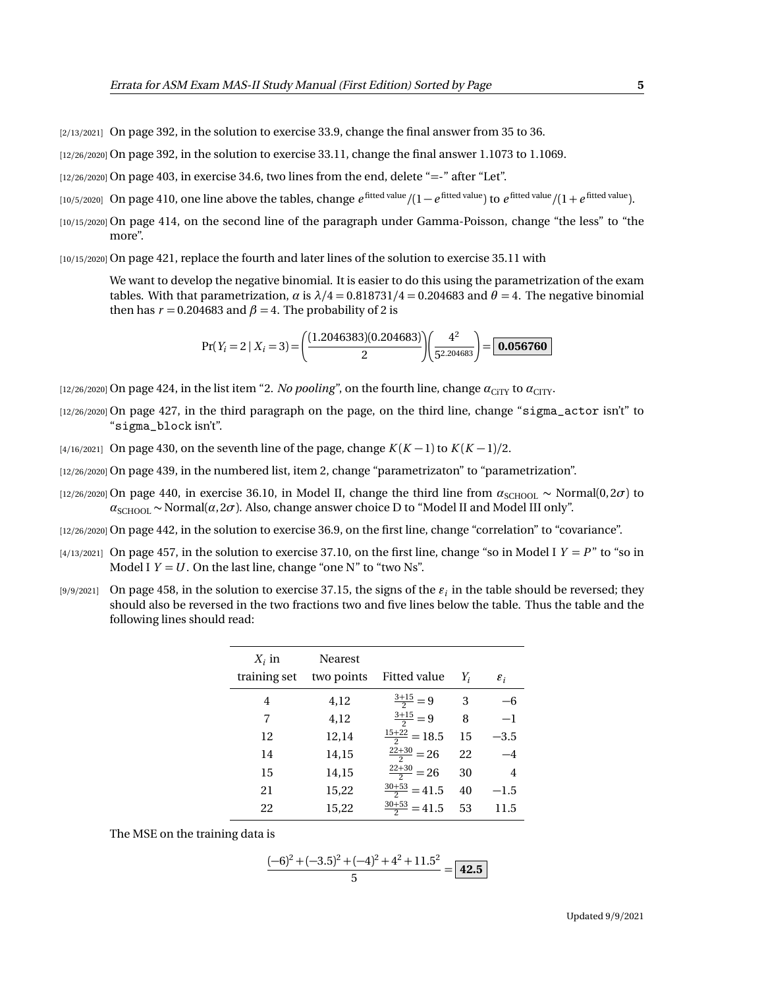[2/13/2021] On page 392, in the solution to exercise 33.9, change the final answer from 35 to 36.

[12/26/2020] On page 392, in the solution to exercise 33.11, change the final answer 1.1073 to 1.1069.

 $[12/26/2020]$  On page 403, in exercise 34.6, two lines from the end, delete "=-" after "Let".

- [10/5/2020] On page 410, one line above the tables, change  $e^{\rm fitted\ value} / (1 e^{\rm fitted\ value})$  to  $e^{\rm fitted\ value} / (1 + e^{\rm fitted\ value})$ .
- [10/15/2020] On page 414, on the second line of the paragraph under Gamma-Poisson, change "the less" to "the more".

[10/15/2020] On page 421, replace the fourth and later lines of the solution to exercise 35.11 with

We want to develop the negative binomial. It is easier to do this using the parametrization of the exam tables. With that parametrization, *α* is  $\lambda/4 = 0.818731/4 = 0.204683$  and  $\theta = 4$ . The negative binomial then has  $r = 0.204683$  and  $\beta = 4$ . The probability of 2 is

$$
Pr(Y_i = 2 \mid X_i = 3) = \left(\frac{(1.2046383)(0.204683)}{2}\right)\left(\frac{4^2}{5^{2.204683}}\right) = \boxed{0.056760}
$$

[12/26/2020] On page 424, in the list item "2. *No pooling*", on the fourth line, change  $\alpha_{\text{CITY}}$  to  $\alpha_{\text{CTY}}$ .

- [12/26/2020] On page 427, in the third paragraph on the page, on the third line, change "sigma\_actor isn't" to "sigma\_block isn't".
- $\frac{1}{4}$ /16/2021] On page 430, on the seventh line of the page, change  $K(K-1)$  to  $K(K-1)/2$ .
- [12/26/2020] On page 439, in the numbered list, item 2, change "parametrizaton" to "parametrization".
- [12/26/2020] On page 440, in exercise 36.10, in Model II, change the third line from  $a_{\text{SCHOOL}} \sim \text{Normal}(0, 2\sigma)$  to  $a_{\text{SCHOOL}} \sim \text{Normal}(\alpha, 2\sigma)$ . Also, change answer choice D to "Model II and Model III only".
- [12/26/2020] On page 442, in the solution to exercise 36.9, on the first line, change "correlation" to "covariance".
- $[4/13/2021]$  On page 457, in the solution to exercise 37.10, on the first line, change "so in Model I  $Y = P$ " to "so in Model I  $Y = U$ . On the last line, change "one N" to "two Ns".
- $_{[9/9/2021]}$  On page 458, in the solution to exercise 37.15, the signs of the  $\varepsilon_i$  in the table should be reversed; they should also be reversed in the two fractions two and five lines below the table. Thus the table and the following lines should read:

| $X_i$ in     | <b>Nearest</b> |                          |       |                 |
|--------------|----------------|--------------------------|-------|-----------------|
| training set | two points     | Fitted value             | $Y_i$ | $\varepsilon_i$ |
| 4            | 4,12           | $\frac{3+15}{2}=9$       | 3     | —რ              |
| 7            | 4,12           | $\frac{3+15}{2} = 9$     | 8     | $-1$            |
| 12           | 12,14          | $\frac{15+22}{2} = 18.5$ | 15    | $-3.5$          |
| 14           | 14,15          | $\frac{22+30}{2} = 26$   | 22    | $-4$            |
| 15           | 14,15          | $\frac{22+30}{2} = 26$   | 30    | 4               |
| 21           | 15,22          | $\frac{30+53}{2}$ = 41.5 | 40    | $-1.5$          |
| 22           | 15,22          | $\frac{30+53}{2} = 41.5$ | 53    | 11.5            |

The MSE on the training data is

$$
\frac{(-6)^2 + (-3.5)^2 + (-4)^2 + 4^2 + 11.5^2}{5} = \boxed{42.5}
$$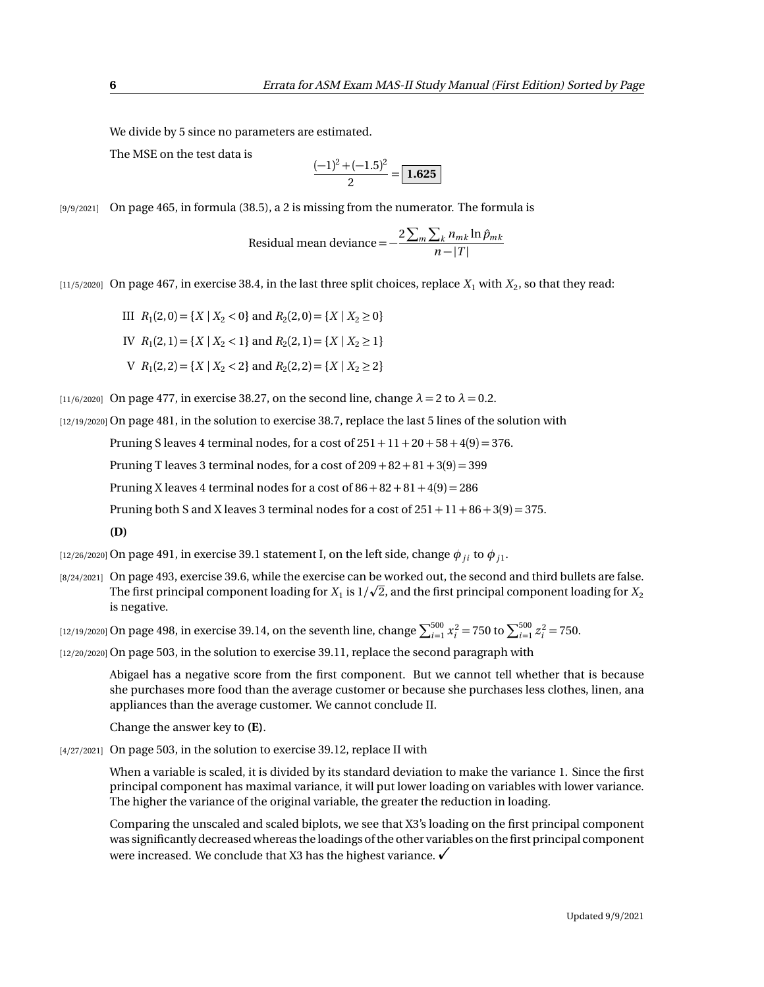We divide by 5 since no parameters are estimated.

The MSE on the test data is

$$
\frac{(-1)^2 + (-1.5)^2}{2} = \boxed{1.625}
$$

[9/9/2021] On page 465, in formula (38.5), a 2 is missing from the numerator. The formula is

 $\text{Residual mean}$  deviance  $=-\frac{2\sum_{m}\sum_{k}n_{mk}\ln\hat{p}_{mk}}{n-|T|}$  $n-|T|$ 

 $_{[11/5/2020]}$  On page 467, in exercise 38.4, in the last three split choices, replace  $X_{1}$  with  $X_{2},$  so that they read:

III  $R_1(2,0) = \{X \mid X_2 < 0\}$  and  $R_2(2,0) = \{X \mid X_2 \ge 0\}$ 

- IV  $R_1(2, 1) = \{X \mid X_2 < 1\}$  and  $R_2(2, 1) = \{X \mid X_2 \ge 1\}$
- $V$   $R_1(2,2) = \{X \mid X_2 < 2\}$  and  $R_2(2,2) = \{X \mid X_2 \ge 2\}$

[11/6/2020] On page 477, in exercise 38.27, on the second line, change  $\lambda = 2$  to  $\lambda = 0.2$ .

[12/19/2020] On page 481, in the solution to exercise 38.7, replace the last 5 lines of the solution with

Pruning S leaves 4 terminal nodes, for a cost of  $251 + 11 + 20 + 58 + 4(9) = 376$ .

Pruning T leaves 3 terminal nodes, for a cost of  $209 + 82 + 81 + 3(9) = 399$ 

Pruning X leaves 4 terminal nodes for a cost of  $86 + 82 + 81 + 4(9) = 286$ 

Pruning both S and X leaves 3 terminal nodes for a cost of  $251 + 11 + 86 + 3(9) = 375$ .

## **(D)**

 $_{[12/26/2020]}$  On page 491, in exercise 39.1 statement I, on the left side, change  $\phi_{ji}$  to  $\phi_{j1}.$ 

[8/24/2021] On page 493, exercise 39.6, while the exercise can be worked out, the second and third bullets are false. p The first principal component loading for  $X_1$  is  $1/\surd 2$ , and the first principal component loading for  $X_2$ is negative.

 $\frac{[12/19/2020]}{12}$  On page 498, in exercise 39.14, on the seventh line, change  $\sum_{i=1}^{500} x_i^2 = 750$  to  $\sum_{i=1}^{500} z_i^2 = 750$ .

[12/20/2020] On page 503, in the solution to exercise 39.11, replace the second paragraph with

Abigael has a negative score from the first component. But we cannot tell whether that is because she purchases more food than the average customer or because she purchases less clothes, linen, ana appliances than the average customer. We cannot conclude II.

Change the answer key to **(E)**.

[4/27/2021] On page 503, in the solution to exercise 39.12, replace II with

When a variable is scaled, it is divided by its standard deviation to make the variance 1. Since the first principal component has maximal variance, it will put lower loading on variables with lower variance. The higher the variance of the original variable, the greater the reduction in loading.

Comparing the unscaled and scaled biplots, we see that X3's loading on the first principal component was significantly decreased whereas the loadings of the other variables on the first principal component were increased. We conclude that X3 has the highest variance.  $\checkmark$